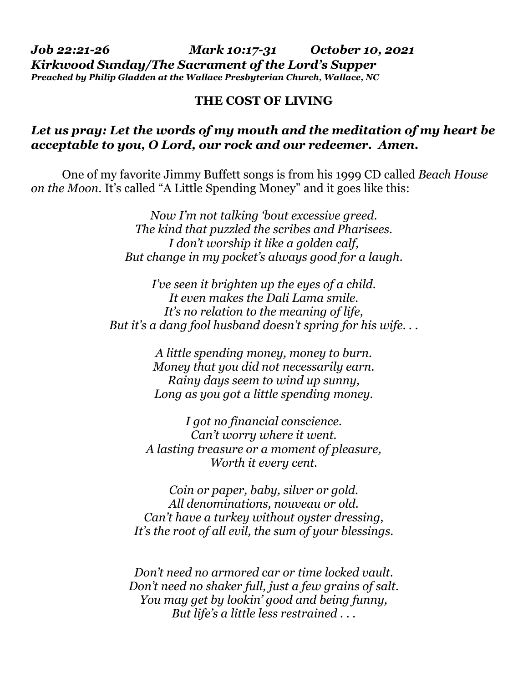*Job 22:21-26 Mark 10:17-31 October 10, 2021 Kirkwood Sunday/The Sacrament of the Lord's Supper Preached by Philip Gladden at the Wallace Presbyterian Church, Wallace, NC* 

## **THE COST OF LIVING**

## *Let us pray: Let the words of my mouth and the meditation of my heart be acceptable to you, O Lord, our rock and our redeemer. Amen.*

 One of my favorite Jimmy Buffett songs is from his 1999 CD called *Beach House on the Moon*. It's called "A Little Spending Money" and it goes like this:

> *Now I'm not talking 'bout excessive greed. The kind that puzzled the scribes and Pharisees. I don't worship it like a golden calf, But change in my pocket's always good for a laugh.*

*I've seen it brighten up the eyes of a child. It even makes the Dali Lama smile. It's no relation to the meaning of life, But it's a dang fool husband doesn't spring for his wife. . .* 

> *A little spending money, money to burn. Money that you did not necessarily earn. Rainy days seem to wind up sunny, Long as you got a little spending money.*

*I got no financial conscience. Can't worry where it went. A lasting treasure or a moment of pleasure, Worth it every cent.* 

*Coin or paper, baby, silver or gold. All denominations, nouveau or old. Can't have a turkey without oyster dressing, It's the root of all evil, the sum of your blessings.* 

*Don't need no armored car or time locked vault. Don't need no shaker full, just a few grains of salt. You may get by lookin' good and being funny, But life's a little less restrained . . .*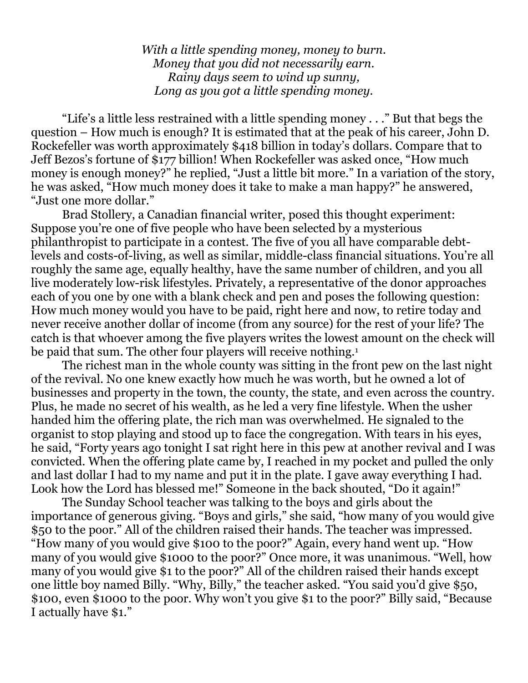*With a little spending money, money to burn. Money that you did not necessarily earn. Rainy days seem to wind up sunny, Long as you got a little spending money.* 

 "Life's a little less restrained with a little spending money . . ." But that begs the question – How much is enough? It is estimated that at the peak of his career, John D. Rockefeller was worth approximately \$418 billion in today's dollars. Compare that to Jeff Bezos's fortune of \$177 billion! When Rockefeller was asked once, "How much money is enough money?" he replied, "Just a little bit more." In a variation of the story, he was asked, "How much money does it take to make a man happy?" he answered, "Just one more dollar."

 Brad Stollery, a Canadian financial writer, posed this thought experiment: Suppose you're one of five people who have been selected by a mysterious philanthropist to participate in a contest. The five of you all have comparable debtlevels and costs-of-living, as well as similar, middle-class financial situations. You're all roughly the same age, equally healthy, have the same number of children, and you all live moderately low-risk lifestyles. Privately, a representative of the donor approaches each of you one by one with a blank check and pen and poses the following question: How much money would you have to be paid, right here and now, to retire today and never receive another dollar of income (from any source) for the rest of your life? The catch is that whoever among the five players writes the lowest amount on the check will be paid that sum. The other four players will receive nothing.<sup>1</sup>

 The richest man in the whole county was sitting in the front pew on the last night of the revival. No one knew exactly how much he was worth, but he owned a lot of businesses and property in the town, the county, the state, and even across the country. Plus, he made no secret of his wealth, as he led a very fine lifestyle. When the usher handed him the offering plate, the rich man was overwhelmed. He signaled to the organist to stop playing and stood up to face the congregation. With tears in his eyes, he said, "Forty years ago tonight I sat right here in this pew at another revival and I was convicted. When the offering plate came by, I reached in my pocket and pulled the only and last dollar I had to my name and put it in the plate. I gave away everything I had. Look how the Lord has blessed me!" Someone in the back shouted, "Do it again!"

 The Sunday School teacher was talking to the boys and girls about the importance of generous giving. "Boys and girls," she said, "how many of you would give \$50 to the poor." All of the children raised their hands. The teacher was impressed. "How many of you would give \$100 to the poor?" Again, every hand went up. "How many of you would give \$1000 to the poor?" Once more, it was unanimous. "Well, how many of you would give \$1 to the poor?" All of the children raised their hands except one little boy named Billy. "Why, Billy," the teacher asked. "You said you'd give \$50, \$100, even \$1000 to the poor. Why won't you give \$1 to the poor?" Billy said, "Because I actually have \$1."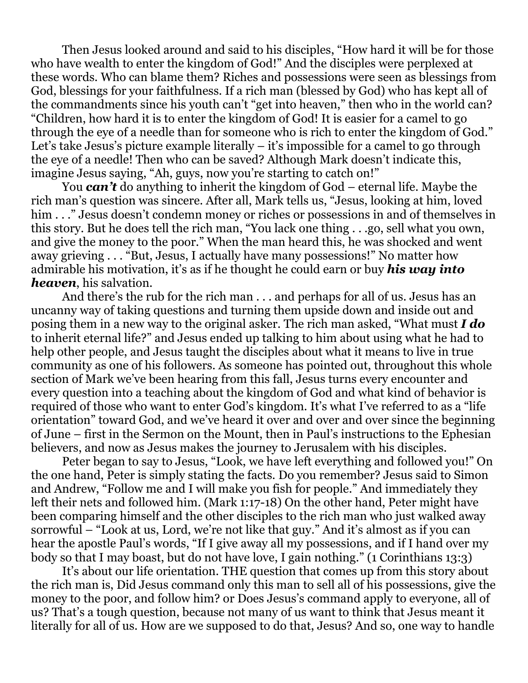Then Jesus looked around and said to his disciples, "How hard it will be for those who have wealth to enter the kingdom of God!" And the disciples were perplexed at these words. Who can blame them? Riches and possessions were seen as blessings from God, blessings for your faithfulness. If a rich man (blessed by God) who has kept all of the commandments since his youth can't "get into heaven," then who in the world can? "Children, how hard it is to enter the kingdom of God! It is easier for a camel to go through the eye of a needle than for someone who is rich to enter the kingdom of God." Let's take Jesus's picture example literally – it's impossible for a camel to go through the eye of a needle! Then who can be saved? Although Mark doesn't indicate this, imagine Jesus saying, "Ah, guys, now you're starting to catch on!"

 You *can't* do anything to inherit the kingdom of God – eternal life. Maybe the rich man's question was sincere. After all, Mark tells us, "Jesus, looking at him, loved him . . ." Jesus doesn't condemn money or riches or possessions in and of themselves in this story. But he does tell the rich man, "You lack one thing . . .go, sell what you own, and give the money to the poor." When the man heard this, he was shocked and went away grieving . . . "But, Jesus, I actually have many possessions!" No matter how admirable his motivation, it's as if he thought he could earn or buy *his way into heaven*, his salvation.

 And there's the rub for the rich man . . . and perhaps for all of us. Jesus has an uncanny way of taking questions and turning them upside down and inside out and posing them in a new way to the original asker. The rich man asked, "What must *I do* to inherit eternal life?" and Jesus ended up talking to him about using what he had to help other people, and Jesus taught the disciples about what it means to live in true community as one of his followers. As someone has pointed out, throughout this whole section of Mark we've been hearing from this fall, Jesus turns every encounter and every question into a teaching about the kingdom of God and what kind of behavior is required of those who want to enter God's kingdom. It's what I've referred to as a "life orientation" toward God, and we've heard it over and over and over since the beginning of June – first in the Sermon on the Mount, then in Paul's instructions to the Ephesian believers, and now as Jesus makes the journey to Jerusalem with his disciples.

 Peter began to say to Jesus, "Look, we have left everything and followed you!" On the one hand, Peter is simply stating the facts. Do you remember? Jesus said to Simon and Andrew, "Follow me and I will make you fish for people." And immediately they left their nets and followed him. (Mark 1:17-18) On the other hand, Peter might have been comparing himself and the other disciples to the rich man who just walked away sorrowful – "Look at us, Lord, we're not like that guy." And it's almost as if you can hear the apostle Paul's words, "If I give away all my possessions, and if I hand over my body so that I may boast, but do not have love, I gain nothing." (1 Corinthians 13:3)

 It's about our life orientation. THE question that comes up from this story about the rich man is, Did Jesus command only this man to sell all of his possessions, give the money to the poor, and follow him? or Does Jesus's command apply to everyone, all of us? That's a tough question, because not many of us want to think that Jesus meant it literally for all of us. How are we supposed to do that, Jesus? And so, one way to handle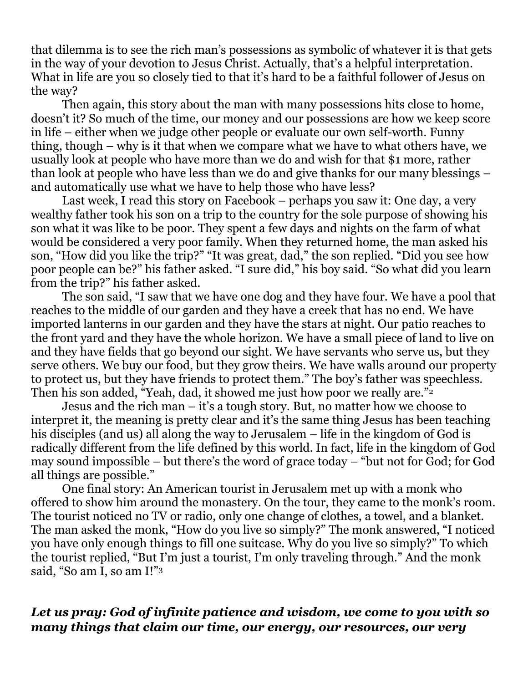that dilemma is to see the rich man's possessions as symbolic of whatever it is that gets in the way of your devotion to Jesus Christ. Actually, that's a helpful interpretation. What in life are you so closely tied to that it's hard to be a faithful follower of Jesus on the way?

 Then again, this story about the man with many possessions hits close to home, doesn't it? So much of the time, our money and our possessions are how we keep score in life – either when we judge other people or evaluate our own self-worth. Funny thing, though – why is it that when we compare what we have to what others have, we usually look at people who have more than we do and wish for that \$1 more, rather than look at people who have less than we do and give thanks for our many blessings – and automatically use what we have to help those who have less?

 Last week, I read this story on Facebook – perhaps you saw it: One day, a very wealthy father took his son on a trip to the country for the sole purpose of showing his son what it was like to be poor. They spent a few days and nights on the farm of what would be considered a very poor family. When they returned home, the man asked his son, "How did you like the trip?" "It was great, dad," the son replied. "Did you see how poor people can be?" his father asked. "I sure did," his boy said. "So what did you learn from the trip?" his father asked.

 The son said, "I saw that we have one dog and they have four. We have a pool that reaches to the middle of our garden and they have a creek that has no end. We have imported lanterns in our garden and they have the stars at night. Our patio reaches to the front yard and they have the whole horizon. We have a small piece of land to live on and they have fields that go beyond our sight. We have servants who serve us, but they serve others. We buy our food, but they grow theirs. We have walls around our property to protect us, but they have friends to protect them." The boy's father was speechless. Then his son added, "Yeah, dad, it showed me just how poor we really are."<sup>2</sup>

 Jesus and the rich man – it's a tough story. But, no matter how we choose to interpret it, the meaning is pretty clear and it's the same thing Jesus has been teaching his disciples (and us) all along the way to Jerusalem – life in the kingdom of God is radically different from the life defined by this world. In fact, life in the kingdom of God may sound impossible – but there's the word of grace today – "but not for God; for God all things are possible."

 One final story: An American tourist in Jerusalem met up with a monk who offered to show him around the monastery. On the tour, they came to the monk's room. The tourist noticed no TV or radio, only one change of clothes, a towel, and a blanket. The man asked the monk, "How do you live so simply?" The monk answered, "I noticed you have only enough things to fill one suitcase. Why do you live so simply?" To which the tourist replied, "But I'm just a tourist, I'm only traveling through." And the monk said, "So am I, so am I!"3

## *Let us pray: God of infinite patience and wisdom, we come to you with so many things that claim our time, our energy, our resources, our very*